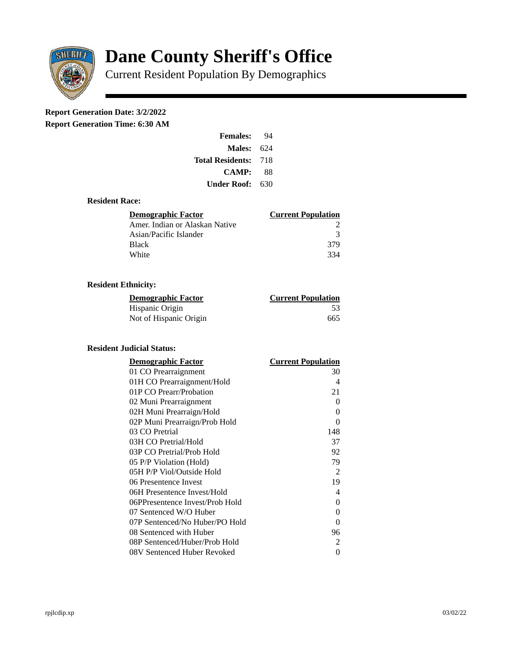

# **Dane County Sheriff's Office**

Current Resident Population By Demographics

# **Report Generation Date: 3/2/2022**

**Report Generation Time: 6:30 AM** 

| <b>Females:</b>         | 94   |
|-------------------------|------|
| Males:                  | 624  |
| <b>Total Residents:</b> | -718 |
| <b>CAMP:</b>            | 88   |
| Under Roof: \           | 630  |

# **Resident Race:**

| Demographic Factor             | <b>Current Population</b> |
|--------------------------------|---------------------------|
| Amer. Indian or Alaskan Native |                           |
| Asian/Pacific Islander         | २                         |
| <b>Black</b>                   | 379                       |
| White                          | 334                       |

# **Resident Ethnicity:**

| <u> Demographic Factor</u> | <b>Current Population</b> |
|----------------------------|---------------------------|
| Hispanic Origin            | .53                       |
| Not of Hispanic Origin     | 665                       |

# **Resident Judicial Status:**

| <b>Demographic Factor</b>       | <b>Current Population</b> |
|---------------------------------|---------------------------|
| 01 CO Prearraignment            | 30                        |
| 01H CO Prearraignment/Hold      | 4                         |
| 01P CO Prearr/Probation         | 21                        |
| 02 Muni Prearraignment          | 0                         |
| 02H Muni Prearraign/Hold        | 0                         |
| 02P Muni Prearraign/Prob Hold   | 0                         |
| 03 CO Pretrial                  | 148                       |
| 03H CO Pretrial/Hold            | 37                        |
| 03P CO Pretrial/Prob Hold       | 92                        |
| 05 P/P Violation (Hold)         | 79                        |
| 05H P/P Viol/Outside Hold       | $\overline{2}$            |
| 06 Presentence Invest           | 19                        |
| 06H Presentence Invest/Hold     | 4                         |
| 06PPresentence Invest/Prob Hold | 0                         |
| 07 Sentenced W/O Huber          | 0                         |
| 07P Sentenced/No Huber/PO Hold  | 0                         |
| 08 Sentenced with Huber         | 96                        |
| 08P Sentenced/Huber/Prob Hold   | 2                         |
| 08V Sentenced Huber Revoked     | 0                         |